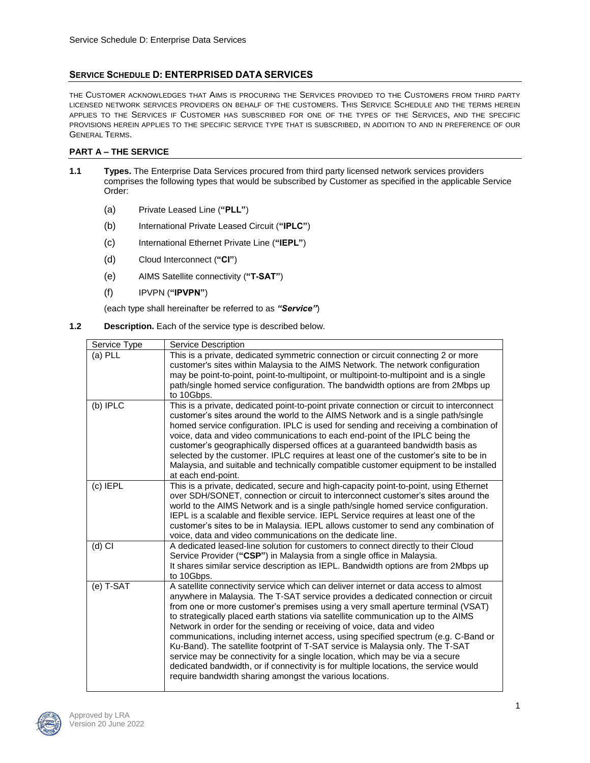# **SERVICE SCHEDULE D: ENTERPRISED DATA SERVICES**

THE CUSTOMER ACKNOWLEDGES THAT AIMS IS PROCURING THE SERVICES PROVIDED TO THE CUSTOMERS FROM THIRD PARTY LICENSED NETWORK SERVICES PROVIDERS ON BEHALF OF THE CUSTOMERS. THIS SERVICE SCHEDULE AND THE TERMS HEREIN APPLIES TO THE SERVICES IF CUSTOMER HAS SUBSCRIBED FOR ONE OF THE TYPES OF THE SERVICES, AND THE SPECIFIC PROVISIONS HEREIN APPLIES TO THE SPECIFIC SERVICE TYPE THAT IS SUBSCRIBED, IN ADDITION TO AND IN PREFERENCE OF OUR GENERAL TERMS.

### **PART A – THE SERVICE**

- **1.1 Types.** The Enterprise Data Services procured from third party licensed network services providers comprises the following types that would be subscribed by Customer as specified in the applicable Service Order:
	- (a) Private Leased Line (**"PLL"**)
	- (b) International Private Leased Circuit (**"IPLC"**)
	- (c) International Ethernet Private Line (**"IEPL"**)
	- (d) Cloud Interconnect (**"CI"**)
	- (e) AIMS Satellite connectivity (**"T-SAT"**)
	- (f) IPVPN (**"IPVPN"**)

(each type shall hereinafter be referred to as *"Service"*)

### **1.2 Description.** Each of the service type is described below.

| Service Type | Service Description                                                                                                                                                                                                                                                                                                                                                                                                                                                                                                                                                                                                                                                                                                                                                                                                                        |
|--------------|--------------------------------------------------------------------------------------------------------------------------------------------------------------------------------------------------------------------------------------------------------------------------------------------------------------------------------------------------------------------------------------------------------------------------------------------------------------------------------------------------------------------------------------------------------------------------------------------------------------------------------------------------------------------------------------------------------------------------------------------------------------------------------------------------------------------------------------------|
| (a) PLL      | This is a private, dedicated symmetric connection or circuit connecting 2 or more<br>customer's sites within Malaysia to the AIMS Network. The network configuration                                                                                                                                                                                                                                                                                                                                                                                                                                                                                                                                                                                                                                                                       |
|              | may be point-to-point, point-to-multipoint, or multipoint-to-multipoint and is a single<br>path/single homed service configuration. The bandwidth options are from 2Mbps up<br>to 10Gbps.                                                                                                                                                                                                                                                                                                                                                                                                                                                                                                                                                                                                                                                  |
| (b) IPLC     | This is a private, dedicated point-to-point private connection or circuit to interconnect<br>customer's sites around the world to the AIMS Network and is a single path/single<br>homed service configuration. IPLC is used for sending and receiving a combination of<br>voice, data and video communications to each end-point of the IPLC being the<br>customer's geographically dispersed offices at a guaranteed bandwidth basis as<br>selected by the customer. IPLC requires at least one of the customer's site to be in<br>Malaysia, and suitable and technically compatible customer equipment to be installed<br>at each end-point.                                                                                                                                                                                             |
| $(c)$ IEPL   | This is a private, dedicated, secure and high-capacity point-to-point, using Ethernet<br>over SDH/SONET, connection or circuit to interconnect customer's sites around the<br>world to the AIMS Network and is a single path/single homed service configuration.<br>IEPL is a scalable and flexible service. IEPL Service requires at least one of the<br>customer's sites to be in Malaysia. IEPL allows customer to send any combination of<br>voice, data and video communications on the dedicate line.                                                                                                                                                                                                                                                                                                                                |
| $(d)$ CI     | A dedicated leased-line solution for customers to connect directly to their Cloud<br>Service Provider ("CSP") in Malaysia from a single office in Malaysia.<br>It shares similar service description as IEPL. Bandwidth options are from 2Mbps up<br>to 10Gbps.                                                                                                                                                                                                                                                                                                                                                                                                                                                                                                                                                                            |
| (e) T-SAT    | A satellite connectivity service which can deliver internet or data access to almost<br>anywhere in Malaysia. The T-SAT service provides a dedicated connection or circuit<br>from one or more customer's premises using a very small aperture terminal (VSAT)<br>to strategically placed earth stations via satellite communication up to the AIMS<br>Network in order for the sending or receiving of voice, data and video<br>communications, including internet access, using specified spectrum (e.g. C-Band or<br>Ku-Band). The satellite footprint of T-SAT service is Malaysia only. The T-SAT<br>service may be connectivity for a single location, which may be via a secure<br>dedicated bandwidth, or if connectivity is for multiple locations, the service would<br>require bandwidth sharing amongst the various locations. |

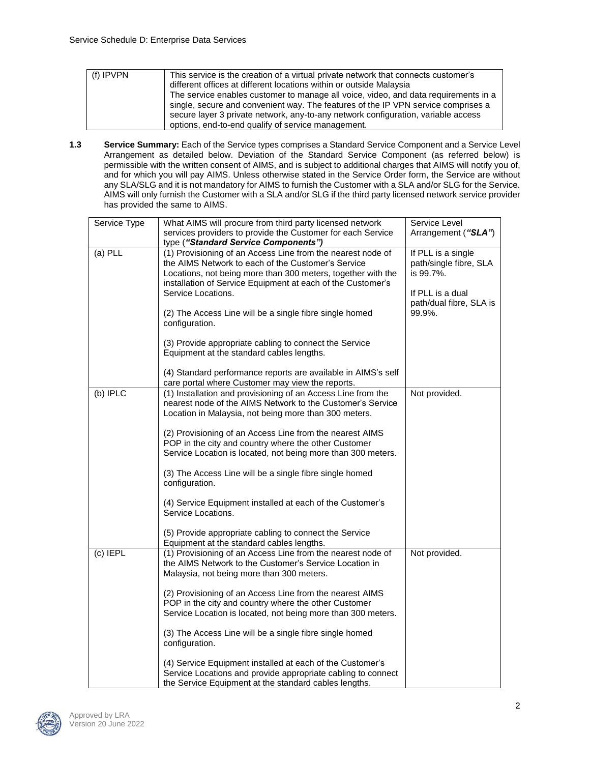| $(f)$ IPVPN | This service is the creation of a virtual private network that connects customer's<br>different offices at different locations within or outside Malaysia<br>The service enables customer to manage all voice, video, and data requirements in a<br>single, secure and convenient way. The features of the IP VPN service comprises a<br>secure layer 3 private network, any-to-any network configuration, variable access |
|-------------|----------------------------------------------------------------------------------------------------------------------------------------------------------------------------------------------------------------------------------------------------------------------------------------------------------------------------------------------------------------------------------------------------------------------------|
|             | options, end-to-end qualify of service management.                                                                                                                                                                                                                                                                                                                                                                         |

**1.3 Service Summary:** Each of the Service types comprises a Standard Service Component and a Service Level Arrangement as detailed below. Deviation of the Standard Service Component (as referred below) is permissible with the written consent of AIMS, and is subject to additional charges that AIMS will notify you of, and for which you will pay AIMS. Unless otherwise stated in the Service Order form, the Service are without any SLA/SLG and it is not mandatory for AIMS to furnish the Customer with a SLA and/or SLG for the Service. AIMS will only furnish the Customer with a SLA and/or SLG if the third party licensed network service provider has provided the same to AIMS.

| Service Type | What AIMS will procure from third party licensed network                                                                                                                                                                                                               | Service Level                                                                                            |
|--------------|------------------------------------------------------------------------------------------------------------------------------------------------------------------------------------------------------------------------------------------------------------------------|----------------------------------------------------------------------------------------------------------|
|              | services providers to provide the Customer for each Service                                                                                                                                                                                                            | Arrangement ("SLA")                                                                                      |
|              | type ("Standard Service Components")                                                                                                                                                                                                                                   |                                                                                                          |
| $(a)$ PLL    | (1) Provisioning of an Access Line from the nearest node of<br>the AIMS Network to each of the Customer's Service<br>Locations, not being more than 300 meters, together with the<br>installation of Service Equipment at each of the Customer's<br>Service Locations. | If PLL is a single<br>path/single fibre, SLA<br>is 99.7%.<br>If PLL is a dual<br>path/dual fibre, SLA is |
|              | (2) The Access Line will be a single fibre single homed<br>configuration.                                                                                                                                                                                              | 99.9%.                                                                                                   |
|              | (3) Provide appropriate cabling to connect the Service<br>Equipment at the standard cables lengths.                                                                                                                                                                    |                                                                                                          |
|              | (4) Standard performance reports are available in AIMS's self<br>care portal where Customer may view the reports.                                                                                                                                                      |                                                                                                          |
| $(b)$ IPLC   | (1) Installation and provisioning of an Access Line from the<br>nearest node of the AIMS Network to the Customer's Service<br>Location in Malaysia, not being more than 300 meters.                                                                                    | Not provided.                                                                                            |
|              | (2) Provisioning of an Access Line from the nearest AIMS<br>POP in the city and country where the other Customer<br>Service Location is located, not being more than 300 meters.                                                                                       |                                                                                                          |
|              | (3) The Access Line will be a single fibre single homed<br>configuration.                                                                                                                                                                                              |                                                                                                          |
|              | (4) Service Equipment installed at each of the Customer's<br>Service Locations.                                                                                                                                                                                        |                                                                                                          |
|              | (5) Provide appropriate cabling to connect the Service<br>Equipment at the standard cables lengths.                                                                                                                                                                    |                                                                                                          |
| $(c)$ IEPL   | (1) Provisioning of an Access Line from the nearest node of<br>the AIMS Network to the Customer's Service Location in<br>Malaysia, not being more than 300 meters.                                                                                                     | Not provided.                                                                                            |
|              | (2) Provisioning of an Access Line from the nearest AIMS<br>POP in the city and country where the other Customer<br>Service Location is located, not being more than 300 meters.                                                                                       |                                                                                                          |
|              | (3) The Access Line will be a single fibre single homed<br>configuration.                                                                                                                                                                                              |                                                                                                          |
|              | (4) Service Equipment installed at each of the Customer's<br>Service Locations and provide appropriate cabling to connect<br>the Service Equipment at the standard cables lengths.                                                                                     |                                                                                                          |

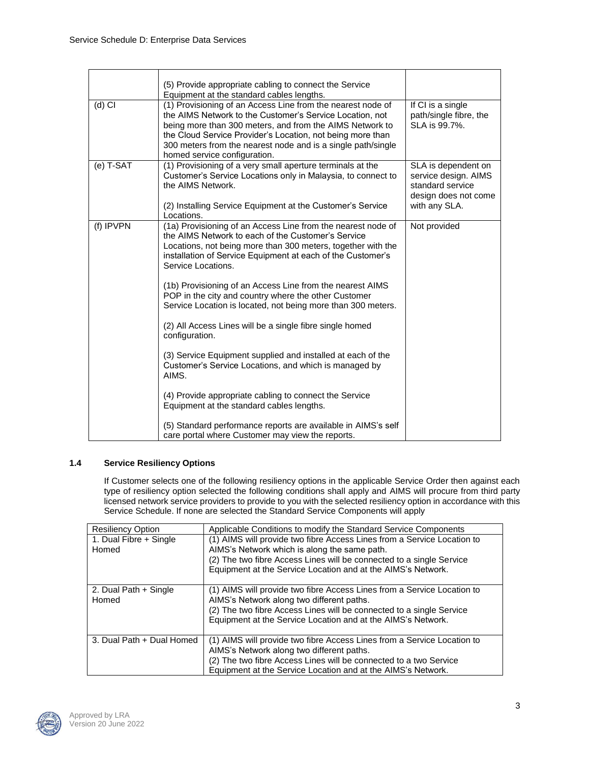|           | (5) Provide appropriate cabling to connect the Service<br>Equipment at the standard cables lengths.                                                                                                                                                                                                                                               |                                                                                                          |
|-----------|---------------------------------------------------------------------------------------------------------------------------------------------------------------------------------------------------------------------------------------------------------------------------------------------------------------------------------------------------|----------------------------------------------------------------------------------------------------------|
| $(d)$ CI  | (1) Provisioning of an Access Line from the nearest node of<br>the AIMS Network to the Customer's Service Location, not<br>being more than 300 meters, and from the AIMS Network to<br>the Cloud Service Provider's Location, not being more than<br>300 meters from the nearest node and is a single path/single<br>homed service configuration. | If CI is a single<br>path/single fibre, the<br>SLA is 99.7%.                                             |
| (e) T-SAT | (1) Provisioning of a very small aperture terminals at the<br>Customer's Service Locations only in Malaysia, to connect to<br>the AIMS Network.<br>(2) Installing Service Equipment at the Customer's Service<br>Locations.                                                                                                                       | SLA is dependent on<br>service design. AIMS<br>standard service<br>design does not come<br>with any SLA. |
| (f) IPVPN | (1a) Provisioning of an Access Line from the nearest node of<br>the AIMS Network to each of the Customer's Service<br>Locations, not being more than 300 meters, together with the<br>installation of Service Equipment at each of the Customer's<br>Service Locations.                                                                           | Not provided                                                                                             |
|           | (1b) Provisioning of an Access Line from the nearest AIMS<br>POP in the city and country where the other Customer<br>Service Location is located, not being more than 300 meters.                                                                                                                                                                 |                                                                                                          |
|           | (2) All Access Lines will be a single fibre single homed<br>configuration.                                                                                                                                                                                                                                                                        |                                                                                                          |
|           | (3) Service Equipment supplied and installed at each of the<br>Customer's Service Locations, and which is managed by<br>AIMS.                                                                                                                                                                                                                     |                                                                                                          |
|           | (4) Provide appropriate cabling to connect the Service<br>Equipment at the standard cables lengths.                                                                                                                                                                                                                                               |                                                                                                          |
|           | (5) Standard performance reports are available in AIMS's self<br>care portal where Customer may view the reports.                                                                                                                                                                                                                                 |                                                                                                          |

### **1.4 Service Resiliency Options**

If Customer selects one of the following resiliency options in the applicable Service Order then against each type of resiliency option selected the following conditions shall apply and AIMS will procure from third party licensed network service providers to provide to you with the selected resiliency option in accordance with this Service Schedule. If none are selected the Standard Service Components will apply

| <b>Resiliency Option</b>        | Applicable Conditions to modify the Standard Service Components                                                                                                                                                                                                 |
|---------------------------------|-----------------------------------------------------------------------------------------------------------------------------------------------------------------------------------------------------------------------------------------------------------------|
| 1. Dual Fibre + Single<br>Homed | (1) AIMS will provide two fibre Access Lines from a Service Location to<br>AIMS's Network which is along the same path.<br>(2) The two fibre Access Lines will be connected to a single Service<br>Equipment at the Service Location and at the AIMS's Network. |
| 2. Dual Path + Single<br>Homed  | (1) AIMS will provide two fibre Access Lines from a Service Location to<br>AIMS's Network along two different paths.<br>(2) The two fibre Access Lines will be connected to a single Service<br>Equipment at the Service Location and at the AIMS's Network.    |
| 3. Dual Path + Dual Homed       | (1) AIMS will provide two fibre Access Lines from a Service Location to<br>AIMS's Network along two different paths.<br>(2) The two fibre Access Lines will be connected to a two Service<br>Equipment at the Service Location and at the AIMS's Network.       |

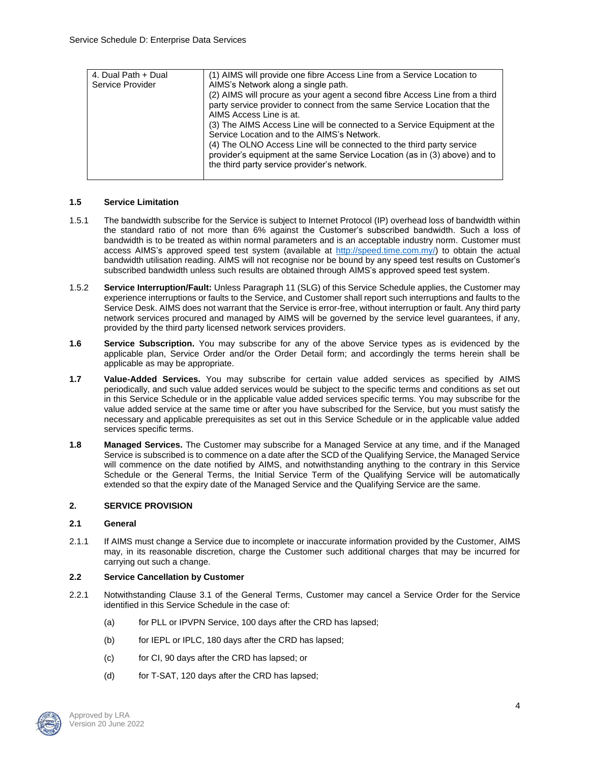| 4. Dual Path + Dual | (1) AIMS will provide one fibre Access Line from a Service Location to      |
|---------------------|-----------------------------------------------------------------------------|
| Service Provider    | AIMS's Network along a single path.                                         |
|                     | (2) AIMS will procure as your agent a second fibre Access Line from a third |
|                     | party service provider to connect from the same Service Location that the   |
|                     | AIMS Access Line is at.                                                     |
|                     | (3) The AIMS Access Line will be connected to a Service Equipment at the    |
|                     | Service Location and to the AIMS's Network.                                 |
|                     | (4) The OLNO Access Line will be connected to the third party service       |
|                     | provider's equipment at the same Service Location (as in (3) above) and to  |
|                     | the third party service provider's network.                                 |
|                     |                                                                             |

### **1.5 Service Limitation**

- 1.5.1 The bandwidth subscribe for the Service is subject to Internet Protocol (IP) overhead loss of bandwidth within the standard ratio of not more than 6% against the Customer's subscribed bandwidth. Such a loss of bandwidth is to be treated as within normal parameters and is an acceptable industry norm. Customer must access AIMS's approved speed test system (available at [http://speed.time.com.my/\)](http://speed.time.com.my/) to obtain the actual bandwidth utilisation reading. AIMS will not recognise nor be bound by any speed test results on Customer's subscribed bandwidth unless such results are obtained through AIMS's approved speed test system.
- 1.5.2 **Service Interruption/Fault:** Unless Paragraph 11 (SLG) of this Service Schedule applies, the Customer may experience interruptions or faults to the Service, and Customer shall report such interruptions and faults to the Service Desk. AIMS does not warrant that the Service is error-free, without interruption or fault. Any third party network services procured and managed by AIMS will be governed by the service level guarantees, if any, provided by the third party licensed network services providers.
- **1.6 Service Subscription.** You may subscribe for any of the above Service types as is evidenced by the applicable plan, Service Order and/or the Order Detail form; and accordingly the terms herein shall be applicable as may be appropriate.
- **1.7 Value-Added Services.** You may subscribe for certain value added services as specified by AIMS periodically, and such value added services would be subject to the specific terms and conditions as set out in this Service Schedule or in the applicable value added services specific terms. You may subscribe for the value added service at the same time or after you have subscribed for the Service, but you must satisfy the necessary and applicable prerequisites as set out in this Service Schedule or in the applicable value added services specific terms.
- **1.8 Managed Services.** The Customer may subscribe for a Managed Service at any time, and if the Managed Service is subscribed is to commence on a date after the SCD of the Qualifying Service, the Managed Service will commence on the date notified by AIMS, and notwithstanding anything to the contrary in this Service Schedule or the General Terms, the Initial Service Term of the Qualifying Service will be automatically extended so that the expiry date of the Managed Service and the Qualifying Service are the same.

### **2. SERVICE PROVISION**

#### **2.1 General**

2.1.1 If AIMS must change a Service due to incomplete or inaccurate information provided by the Customer, AIMS may, in its reasonable discretion, charge the Customer such additional charges that may be incurred for carrying out such a change.

#### **2.2 Service Cancellation by Customer**

- 2.2.1 Notwithstanding Clause 3.1 of the General Terms, Customer may cancel a Service Order for the Service identified in this Service Schedule in the case of:
	- (a) for PLL or IPVPN Service, 100 days after the CRD has lapsed;
	- (b) for IEPL or IPLC, 180 days after the CRD has lapsed;
	- (c) for CI, 90 days after the CRD has lapsed; or
	- (d) for T-SAT, 120 days after the CRD has lapsed;

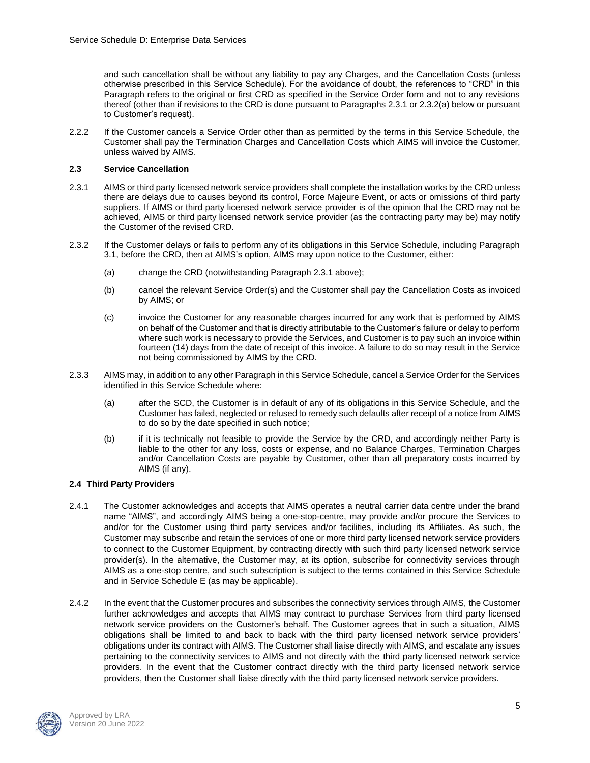and such cancellation shall be without any liability to pay any Charges, and the Cancellation Costs (unless otherwise prescribed in this Service Schedule). For the avoidance of doubt, the references to "CRD" in this Paragraph refers to the original or first CRD as specified in the Service Order form and not to any revisions thereof (other than if revisions to the CRD is done pursuant to Paragraphs 2.3.1 or 2.3.2(a) below or pursuant to Customer's request).

2.2.2 If the Customer cancels a Service Order other than as permitted by the terms in this Service Schedule, the Customer shall pay the Termination Charges and Cancellation Costs which AIMS will invoice the Customer, unless waived by AIMS.

## **2.3 Service Cancellation**

- 2.3.1 AIMS or third party licensed network service providers shall complete the installation works by the CRD unless there are delays due to causes beyond its control, Force Majeure Event, or acts or omissions of third party suppliers. If AIMS or third party licensed network service provider is of the opinion that the CRD may not be achieved, AIMS or third party licensed network service provider (as the contracting party may be) may notify the Customer of the revised CRD.
- 2.3.2 If the Customer delays or fails to perform any of its obligations in this Service Schedule, including Paragraph 3.1, before the CRD, then at AIMS's option, AIMS may upon notice to the Customer, either:
	- (a) change the CRD (notwithstanding Paragraph 2.3.1 above);
	- (b) cancel the relevant Service Order(s) and the Customer shall pay the Cancellation Costs as invoiced by AIMS; or
	- (c) invoice the Customer for any reasonable charges incurred for any work that is performed by AIMS on behalf of the Customer and that is directly attributable to the Customer's failure or delay to perform where such work is necessary to provide the Services, and Customer is to pay such an invoice within fourteen (14) days from the date of receipt of this invoice. A failure to do so may result in the Service not being commissioned by AIMS by the CRD.
- 2.3.3 AIMS may, in addition to any other Paragraph in this Service Schedule, cancel a Service Order for the Services identified in this Service Schedule where:
	- (a) after the SCD, the Customer is in default of any of its obligations in this Service Schedule, and the Customer has failed, neglected or refused to remedy such defaults after receipt of a notice from AIMS to do so by the date specified in such notice;
	- (b) if it is technically not feasible to provide the Service by the CRD, and accordingly neither Party is liable to the other for any loss, costs or expense, and no Balance Charges, Termination Charges and/or Cancellation Costs are payable by Customer, other than all preparatory costs incurred by AIMS (if any).

### **2.4 Third Party Providers**

- 2.4.1 The Customer acknowledges and accepts that AIMS operates a neutral carrier data centre under the brand name "AIMS", and accordingly AIMS being a one-stop-centre, may provide and/or procure the Services to and/or for the Customer using third party services and/or facilities, including its Affiliates. As such, the Customer may subscribe and retain the services of one or more third party licensed network service providers to connect to the Customer Equipment, by contracting directly with such third party licensed network service provider(s). In the alternative, the Customer may, at its option, subscribe for connectivity services through AIMS as a one-stop centre, and such subscription is subject to the terms contained in this Service Schedule and in Service Schedule E (as may be applicable).
- 2.4.2 In the event that the Customer procures and subscribes the connectivity services through AIMS, the Customer further acknowledges and accepts that AIMS may contract to purchase Services from third party licensed network service providers on the Customer's behalf. The Customer agrees that in such a situation, AIMS obligations shall be limited to and back to back with the third party licensed network service providers' obligations under its contract with AIMS. The Customer shall liaise directly with AIMS, and escalate any issues pertaining to the connectivity services to AIMS and not directly with the third party licensed network service providers. In the event that the Customer contract directly with the third party licensed network service providers, then the Customer shall liaise directly with the third party licensed network service providers.

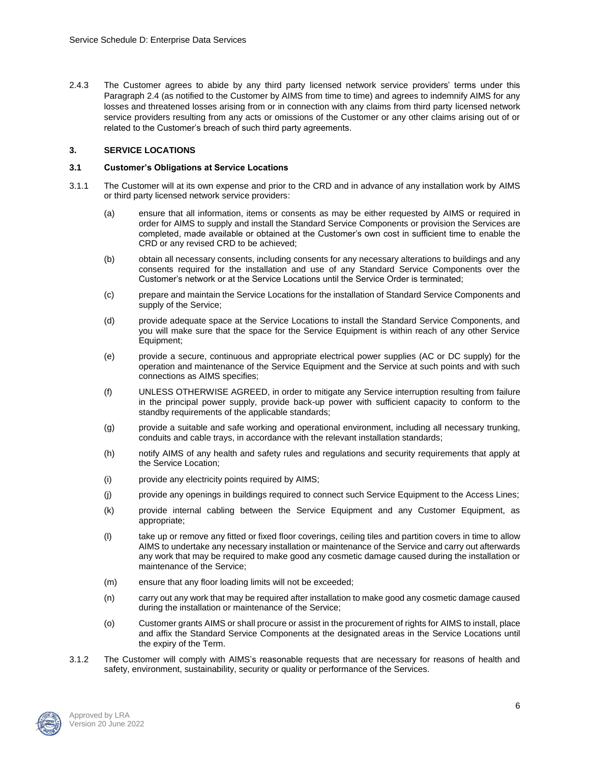2.4.3 The Customer agrees to abide by any third party licensed network service providers' terms under this Paragraph 2.4 (as notified to the Customer by AIMS from time to time) and agrees to indemnify AIMS for any losses and threatened losses arising from or in connection with any claims from third party licensed network service providers resulting from any acts or omissions of the Customer or any other claims arising out of or related to the Customer's breach of such third party agreements.

### **3. SERVICE LOCATIONS**

#### **3.1 Customer's Obligations at Service Locations**

- 3.1.1 The Customer will at its own expense and prior to the CRD and in advance of any installation work by AIMS or third party licensed network service providers:
	- (a) ensure that all information, items or consents as may be either requested by AIMS or required in order for AIMS to supply and install the Standard Service Components or provision the Services are completed, made available or obtained at the Customer's own cost in sufficient time to enable the CRD or any revised CRD to be achieved;
	- (b) obtain all necessary consents, including consents for any necessary alterations to buildings and any consents required for the installation and use of any Standard Service Components over the Customer's network or at the Service Locations until the Service Order is terminated;
	- (c) prepare and maintain the Service Locations for the installation of Standard Service Components and supply of the Service;
	- (d) provide adequate space at the Service Locations to install the Standard Service Components, and you will make sure that the space for the Service Equipment is within reach of any other Service Equipment;
	- (e) provide a secure, continuous and appropriate electrical power supplies (AC or DC supply) for the operation and maintenance of the Service Equipment and the Service at such points and with such connections as AIMS specifies;
	- (f) UNLESS OTHERWISE AGREED, in order to mitigate any Service interruption resulting from failure in the principal power supply, provide back-up power with sufficient capacity to conform to the standby requirements of the applicable standards;
	- (g) provide a suitable and safe working and operational environment, including all necessary trunking, conduits and cable trays, in accordance with the relevant installation standards;
	- (h) notify AIMS of any health and safety rules and regulations and security requirements that apply at the Service Location;
	- (i) provide any electricity points required by AIMS;
	- (j) provide any openings in buildings required to connect such Service Equipment to the Access Lines;
	- (k) provide internal cabling between the Service Equipment and any Customer Equipment, as appropriate;
	- (l) take up or remove any fitted or fixed floor coverings, ceiling tiles and partition covers in time to allow AIMS to undertake any necessary installation or maintenance of the Service and carry out afterwards any work that may be required to make good any cosmetic damage caused during the installation or maintenance of the Service;
	- (m) ensure that any floor loading limits will not be exceeded;
	- (n) carry out any work that may be required after installation to make good any cosmetic damage caused during the installation or maintenance of the Service;
	- (o) Customer grants AIMS or shall procure or assist in the procurement of rights for AIMS to install, place and affix the Standard Service Components at the designated areas in the Service Locations until the expiry of the Term.
- 3.1.2 The Customer will comply with AIMS's reasonable requests that are necessary for reasons of health and safety, environment, sustainability, security or quality or performance of the Services.

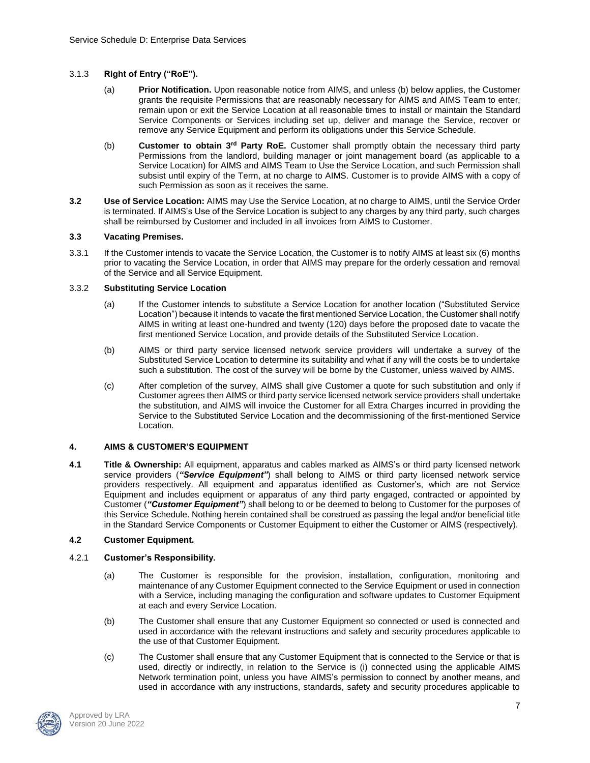### 3.1.3 **Right of Entry ("RoE").**

- (a) **Prior Notification.** Upon reasonable notice from AIMS, and unless (b) below applies, the Customer grants the requisite Permissions that are reasonably necessary for AIMS and AIMS Team to enter, remain upon or exit the Service Location at all reasonable times to install or maintain the Standard Service Components or Services including set up, deliver and manage the Service, recover or remove any Service Equipment and perform its obligations under this Service Schedule.
- (b) **Customer to obtain 3rd Party RoE.** Customer shall promptly obtain the necessary third party Permissions from the landlord, building manager or joint management board (as applicable to a Service Location) for AIMS and AIMS Team to Use the Service Location, and such Permission shall subsist until expiry of the Term, at no charge to AIMS. Customer is to provide AIMS with a copy of such Permission as soon as it receives the same.
- **3.2 Use of Service Location:** AIMS may Use the Service Location, at no charge to AIMS, until the Service Order is terminated. If AIMS's Use of the Service Location is subject to any charges by any third party, such charges shall be reimbursed by Customer and included in all invoices from AIMS to Customer.

#### **3.3 Vacating Premises.**

3.3.1 If the Customer intends to vacate the Service Location, the Customer is to notify AIMS at least six (6) months prior to vacating the Service Location, in order that AIMS may prepare for the orderly cessation and removal of the Service and all Service Equipment.

#### 3.3.2 **Substituting Service Location**

- (a) If the Customer intends to substitute a Service Location for another location ("Substituted Service Location") because it intends to vacate the first mentioned Service Location, the Customer shall notify AIMS in writing at least one-hundred and twenty (120) days before the proposed date to vacate the first mentioned Service Location, and provide details of the Substituted Service Location.
- (b) AIMS or third party service licensed network service providers will undertake a survey of the Substituted Service Location to determine its suitability and what if any will the costs be to undertake such a substitution. The cost of the survey will be borne by the Customer, unless waived by AIMS.
- (c) After completion of the survey, AIMS shall give Customer a quote for such substitution and only if Customer agrees then AIMS or third party service licensed network service providers shall undertake the substitution, and AIMS will invoice the Customer for all Extra Charges incurred in providing the Service to the Substituted Service Location and the decommissioning of the first-mentioned Service Location.

#### **4. AIMS & CUSTOMER'S EQUIPMENT**

**4.1 Title & Ownership:** All equipment, apparatus and cables marked as AIMS's or third party licensed network service providers (*"Service Equipment"*) shall belong to AIMS or third party licensed network service providers respectively. All equipment and apparatus identified as Customer's, which are not Service Equipment and includes equipment or apparatus of any third party engaged, contracted or appointed by Customer (*"Customer Equipment"*) shall belong to or be deemed to belong to Customer for the purposes of this Service Schedule. Nothing herein contained shall be construed as passing the legal and/or beneficial title in the Standard Service Components or Customer Equipment to either the Customer or AIMS (respectively).

### **4.2 Customer Equipment.**

#### 4.2.1 **Customer's Responsibility.**

- (a) The Customer is responsible for the provision, installation, configuration, monitoring and maintenance of any Customer Equipment connected to the Service Equipment or used in connection with a Service, including managing the configuration and software updates to Customer Equipment at each and every Service Location.
- (b) The Customer shall ensure that any Customer Equipment so connected or used is connected and used in accordance with the relevant instructions and safety and security procedures applicable to the use of that Customer Equipment.
- (c) The Customer shall ensure that any Customer Equipment that is connected to the Service or that is used, directly or indirectly, in relation to the Service is (i) connected using the applicable AIMS Network termination point, unless you have AIMS's permission to connect by another means, and used in accordance with any instructions, standards, safety and security procedures applicable to

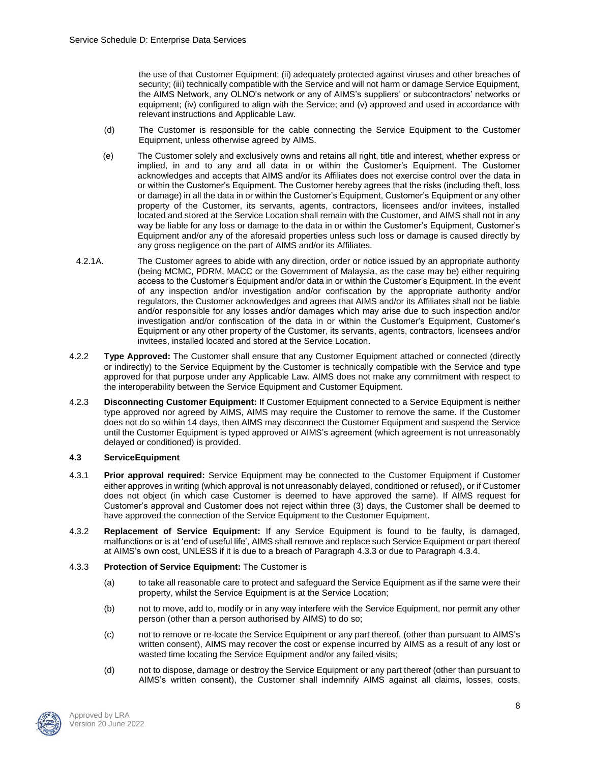the use of that Customer Equipment; (ii) adequately protected against viruses and other breaches of security; (iii) technically compatible with the Service and will not harm or damage Service Equipment, the AIMS Network, any OLNO's network or any of AIMS's suppliers' or subcontractors' networks or equipment; (iv) configured to align with the Service; and (v) approved and used in accordance with relevant instructions and Applicable Law.

- (d) The Customer is responsible for the cable connecting the Service Equipment to the Customer Equipment, unless otherwise agreed by AIMS.
- (e) The Customer solely and exclusively owns and retains all right, title and interest, whether express or implied, in and to any and all data in or within the Customer's Equipment. The Customer acknowledges and accepts that AIMS and/or its Affiliates does not exercise control over the data in or within the Customer's Equipment. The Customer hereby agrees that the risks (including theft, loss or damage) in all the data in or within the Customer's Equipment, Customer's Equipment or any other property of the Customer, its servants, agents, contractors, licensees and/or invitees, installed located and stored at the Service Location shall remain with the Customer, and AIMS shall not in any way be liable for any loss or damage to the data in or within the Customer's Equipment, Customer's Equipment and/or any of the aforesaid properties unless such loss or damage is caused directly by any gross negligence on the part of AIMS and/or its Affiliates.
- 4.2.1A. The Customer agrees to abide with any direction, order or notice issued by an appropriate authority (being MCMC, PDRM, MACC or the Government of Malaysia, as the case may be) either requiring access to the Customer's Equipment and/or data in or within the Customer's Equipment. In the event of any inspection and/or investigation and/or confiscation by the appropriate authority and/or regulators, the Customer acknowledges and agrees that AIMS and/or its Affiliates shall not be liable and/or responsible for any losses and/or damages which may arise due to such inspection and/or investigation and/or confiscation of the data in or within the Customer's Equipment, Customer's Equipment or any other property of the Customer, its servants, agents, contractors, licensees and/or invitees, installed located and stored at the Service Location.
- 4.2.2 **Type Approved:** The Customer shall ensure that any Customer Equipment attached or connected (directly or indirectly) to the Service Equipment by the Customer is technically compatible with the Service and type approved for that purpose under any Applicable Law. AIMS does not make any commitment with respect to the interoperability between the Service Equipment and Customer Equipment.
- 4.2.3 **Disconnecting Customer Equipment:** If Customer Equipment connected to a Service Equipment is neither type approved nor agreed by AIMS, AIMS may require the Customer to remove the same. If the Customer does not do so within 14 days, then AIMS may disconnect the Customer Equipment and suspend the Service until the Customer Equipment is typed approved or AIMS's agreement (which agreement is not unreasonably delayed or conditioned) is provided.

#### **4.3 ServiceEquipment**

- 4.3.1 **Prior approval required:** Service Equipment may be connected to the Customer Equipment if Customer either approves in writing (which approval is not unreasonably delayed, conditioned or refused), or if Customer does not object (in which case Customer is deemed to have approved the same). If AIMS request for Customer's approval and Customer does not reject within three (3) days, the Customer shall be deemed to have approved the connection of the Service Equipment to the Customer Equipment.
- 4.3.2 **Replacement of Service Equipment:** If any Service Equipment is found to be faulty, is damaged, malfunctions or is at 'end of useful life', AIMS shall remove and replace such Service Equipment or part thereof at AIMS's own cost, UNLESS if it is due to a breach of Paragraph 4.3.3 or due to Paragraph 4.3.4.
- 4.3.3 **Protection of Service Equipment:** The Customer is
	- (a) to take all reasonable care to protect and safeguard the Service Equipment as if the same were their property, whilst the Service Equipment is at the Service Location;
	- (b) not to move, add to, modify or in any way interfere with the Service Equipment, nor permit any other person (other than a person authorised by AIMS) to do so;
	- (c) not to remove or re-locate the Service Equipment or any part thereof, (other than pursuant to AIMS's written consent), AIMS may recover the cost or expense incurred by AIMS as a result of any lost or wasted time locating the Service Equipment and/or any failed visits;
	- (d) not to dispose, damage or destroy the Service Equipment or any part thereof (other than pursuant to AIMS's written consent), the Customer shall indemnify AIMS against all claims, losses, costs,

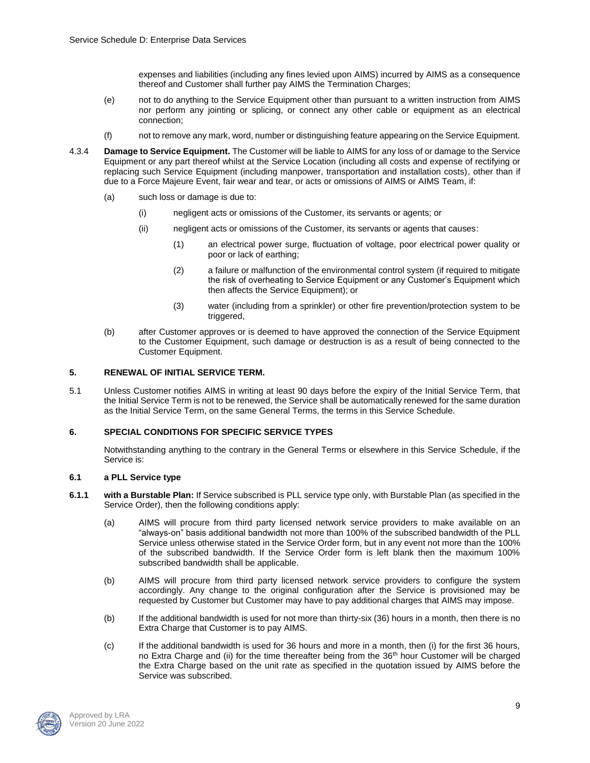expenses and liabilities (including any fines levied upon AIMS) incurred by AIMS as a consequence thereof and Customer shall further pay AIMS the Termination Charges;

- (e) not to do anything to the Service Equipment other than pursuant to a written instruction from AIMS nor perform any jointing or splicing, or connect any other cable or equipment as an electrical connection;
- (f) not to remove any mark, word, number or distinguishing feature appearing on the Service Equipment.
- 4.3.4 **Damage to Service Equipment.** The Customer will be liable to AIMS for any loss of or damage to the Service Equipment or any part thereof whilst at the Service Location (including all costs and expense of rectifying or replacing such Service Equipment (including manpower, transportation and installation costs), other than if due to a Force Majeure Event, fair wear and tear, or acts or omissions of AIMS or AIMS Team, if:
	- (a) such loss or damage is due to:
		- (i) negligent acts or omissions of the Customer, its servants or agents; or
		- (ii) negligent acts or omissions of the Customer, its servants or agents that causes:
			- (1) an electrical power surge, fluctuation of voltage, poor electrical power quality or poor or lack of earthing;
			- (2) a failure or malfunction of the environmental control system (if required to mitigate the risk of overheating to Service Equipment or any Customer's Equipment which then affects the Service Equipment); or
			- (3) water (including from a sprinkler) or other fire prevention/protection system to be triggered,
	- (b) after Customer approves or is deemed to have approved the connection of the Service Equipment to the Customer Equipment, such damage or destruction is as a result of being connected to the Customer Equipment.

### **5. RENEWAL OF INITIAL SERVICE TERM.**

5.1 Unless Customer notifies AIMS in writing at least 90 days before the expiry of the Initial Service Term, that the Initial Service Term is not to be renewed, the Service shall be automatically renewed for the same duration as the Initial Service Term, on the same General Terms, the terms in this Service Schedule.

#### **6. SPECIAL CONDITIONS FOR SPECIFIC SERVICE TYPES**

Notwithstanding anything to the contrary in the General Terms or elsewhere in this Service Schedule, if the Service is:

### **6.1 a PLL Service type**

- **6.1.1 with a Burstable Plan:** If Service subscribed is PLL service type only, with Burstable Plan (as specified in the Service Order), then the following conditions apply:
	- (a) AIMS will procure from third party licensed network service providers to make available on an "always-on" basis additional bandwidth not more than 100% of the subscribed bandwidth of the PLL Service unless otherwise stated in the Service Order form, but in any event not more than the 100% of the subscribed bandwidth. If the Service Order form is left blank then the maximum 100% subscribed bandwidth shall be applicable.
	- (b) AIMS will procure from third party licensed network service providers to configure the system accordingly. Any change to the original configuration after the Service is provisioned may be requested by Customer but Customer may have to pay additional charges that AIMS may impose.
	- (b) If the additional bandwidth is used for not more than thirty-six (36) hours in a month, then there is no Extra Charge that Customer is to pay AIMS.
	- (c) If the additional bandwidth is used for 36 hours and more in a month, then (i) for the first 36 hours, no Extra Charge and (ii) for the time thereafter being from the  $36<sup>th</sup>$  hour Customer will be charged the Extra Charge based on the unit rate as specified in the quotation issued by AIMS before the Service was subscribed.

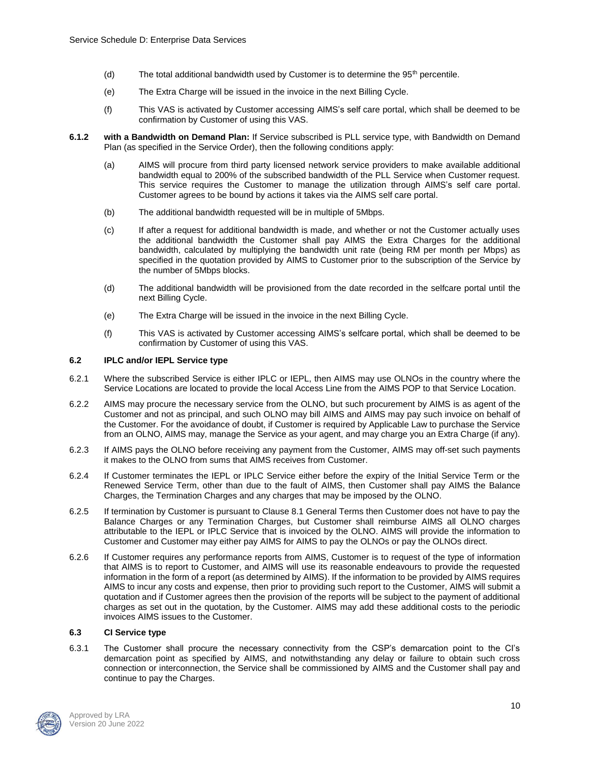- (d) The total additional bandwidth used by Customer is to determine the 95<sup>th</sup> percentile.
- (e) The Extra Charge will be issued in the invoice in the next Billing Cycle.
- (f) This VAS is activated by Customer accessing AIMS's self care portal, which shall be deemed to be confirmation by Customer of using this VAS.
- **6.1.2 with a Bandwidth on Demand Plan:** If Service subscribed is PLL service type, with Bandwidth on Demand Plan (as specified in the Service Order), then the following conditions apply:
	- (a) AIMS will procure from third party licensed network service providers to make available additional bandwidth equal to 200% of the subscribed bandwidth of the PLL Service when Customer request. This service requires the Customer to manage the utilization through AIMS's self care portal. Customer agrees to be bound by actions it takes via the AIMS self care portal.
	- (b) The additional bandwidth requested will be in multiple of 5Mbps.
	- (c) If after a request for additional bandwidth is made, and whether or not the Customer actually uses the additional bandwidth the Customer shall pay AIMS the Extra Charges for the additional bandwidth, calculated by multiplying the bandwidth unit rate (being RM per month per Mbps) as specified in the quotation provided by AIMS to Customer prior to the subscription of the Service by the number of 5Mbps blocks.
	- (d) The additional bandwidth will be provisioned from the date recorded in the selfcare portal until the next Billing Cycle.
	- (e) The Extra Charge will be issued in the invoice in the next Billing Cycle.
	- (f) This VAS is activated by Customer accessing AIMS's selfcare portal, which shall be deemed to be confirmation by Customer of using this VAS.

### **6.2 IPLC and/or IEPL Service type**

- 6.2.1 Where the subscribed Service is either IPLC or IEPL, then AIMS may use OLNOs in the country where the Service Locations are located to provide the local Access Line from the AIMS POP to that Service Location.
- 6.2.2 AIMS may procure the necessary service from the OLNO, but such procurement by AIMS is as agent of the Customer and not as principal, and such OLNO may bill AIMS and AIMS may pay such invoice on behalf of the Customer. For the avoidance of doubt, if Customer is required by Applicable Law to purchase the Service from an OLNO, AIMS may, manage the Service as your agent, and may charge you an Extra Charge (if any).
- 6.2.3 If AIMS pays the OLNO before receiving any payment from the Customer, AIMS may off-set such payments it makes to the OLNO from sums that AIMS receives from Customer.
- 6.2.4 If Customer terminates the IEPL or IPLC Service either before the expiry of the Initial Service Term or the Renewed Service Term, other than due to the fault of AIMS, then Customer shall pay AIMS the Balance Charges, the Termination Charges and any charges that may be imposed by the OLNO.
- 6.2.5 If termination by Customer is pursuant to Clause 8.1 General Terms then Customer does not have to pay the Balance Charges or any Termination Charges, but Customer shall reimburse AIMS all OLNO charges attributable to the IEPL or IPLC Service that is invoiced by the OLNO. AIMS will provide the information to Customer and Customer may either pay AIMS for AIMS to pay the OLNOs or pay the OLNOs direct.
- 6.2.6 If Customer requires any performance reports from AIMS, Customer is to request of the type of information that AIMS is to report to Customer, and AIMS will use its reasonable endeavours to provide the requested information in the form of a report (as determined by AIMS). If the information to be provided by AIMS requires AIMS to incur any costs and expense, then prior to providing such report to the Customer, AIMS will submit a quotation and if Customer agrees then the provision of the reports will be subject to the payment of additional charges as set out in the quotation, by the Customer. AIMS may add these additional costs to the periodic invoices AIMS issues to the Customer.

### **6.3 CI Service type**

6.3.1 The Customer shall procure the necessary connectivity from the CSP's demarcation point to the CI's demarcation point as specified by AIMS, and notwithstanding any delay or failure to obtain such cross connection or interconnection, the Service shall be commissioned by AIMS and the Customer shall pay and continue to pay the Charges.

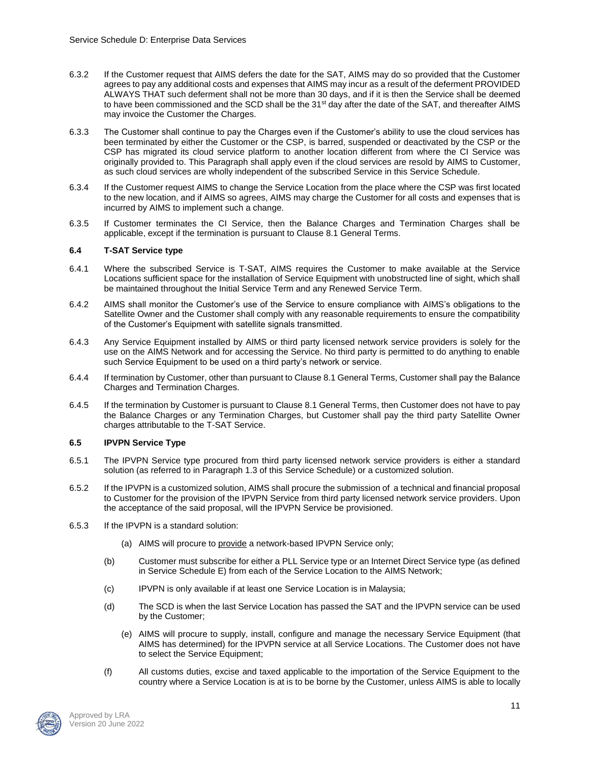- 6.3.2 If the Customer request that AIMS defers the date for the SAT, AIMS may do so provided that the Customer agrees to pay any additional costs and expenses that AIMS may incur as a result of the deferment PROVIDED ALWAYS THAT such deferment shall not be more than 30 days, and if it is then the Service shall be deemed to have been commissioned and the SCD shall be the 31<sup>st</sup> day after the date of the SAT, and thereafter AIMS may invoice the Customer the Charges.
- 6.3.3 The Customer shall continue to pay the Charges even if the Customer's ability to use the cloud services has been terminated by either the Customer or the CSP, is barred, suspended or deactivated by the CSP or the CSP has migrated its cloud service platform to another location different from where the CI Service was originally provided to. This Paragraph shall apply even if the cloud services are resold by AIMS to Customer, as such cloud services are wholly independent of the subscribed Service in this Service Schedule.
- 6.3.4 If the Customer request AIMS to change the Service Location from the place where the CSP was first located to the new location, and if AIMS so agrees, AIMS may charge the Customer for all costs and expenses that is incurred by AIMS to implement such a change.
- 6.3.5 If Customer terminates the CI Service, then the Balance Charges and Termination Charges shall be applicable, except if the termination is pursuant to Clause 8.1 General Terms.

#### **6.4 T-SAT Service type**

- 6.4.1 Where the subscribed Service is T-SAT, AIMS requires the Customer to make available at the Service Locations sufficient space for the installation of Service Equipment with unobstructed line of sight, which shall be maintained throughout the Initial Service Term and any Renewed Service Term.
- 6.4.2 AIMS shall monitor the Customer's use of the Service to ensure compliance with AIMS's obligations to the Satellite Owner and the Customer shall comply with any reasonable requirements to ensure the compatibility of the Customer's Equipment with satellite signals transmitted.
- 6.4.3 Any Service Equipment installed by AIMS or third party licensed network service providers is solely for the use on the AIMS Network and for accessing the Service. No third party is permitted to do anything to enable such Service Equipment to be used on a third party's network or service.
- 6.4.4 If termination by Customer, other than pursuant to Clause 8.1 General Terms, Customer shall pay the Balance Charges and Termination Charges.
- 6.4.5 If the termination by Customer is pursuant to Clause 8.1 General Terms, then Customer does not have to pay the Balance Charges or any Termination Charges, but Customer shall pay the third party Satellite Owner charges attributable to the T-SAT Service.

#### **6.5 IPVPN Service Type**

- 6.5.1 The IPVPN Service type procured from third party licensed network service providers is either a standard solution (as referred to in Paragraph 1.3 of this Service Schedule) or a customized solution.
- 6.5.2 If the IPVPN is a customized solution, AIMS shall procure the submission of a technical and financial proposal to Customer for the provision of the IPVPN Service from third party licensed network service providers. Upon the acceptance of the said proposal, will the IPVPN Service be provisioned.
- 6.5.3 If the IPVPN is a standard solution:
	- (a) AIMS will procure to provide a network-based IPVPN Service only;
	- (b) Customer must subscribe for either a PLL Service type or an Internet Direct Service type (as defined in Service Schedule E) from each of the Service Location to the AIMS Network;
	- (c) IPVPN is only available if at least one Service Location is in Malaysia;
	- (d) The SCD is when the last Service Location has passed the SAT and the IPVPN service can be used by the Customer;
		- (e) AIMS will procure to supply, install, configure and manage the necessary Service Equipment (that AIMS has determined) for the IPVPN service at all Service Locations. The Customer does not have to select the Service Equipment;
	- (f) All customs duties, excise and taxed applicable to the importation of the Service Equipment to the country where a Service Location is at is to be borne by the Customer, unless AIMS is able to locally

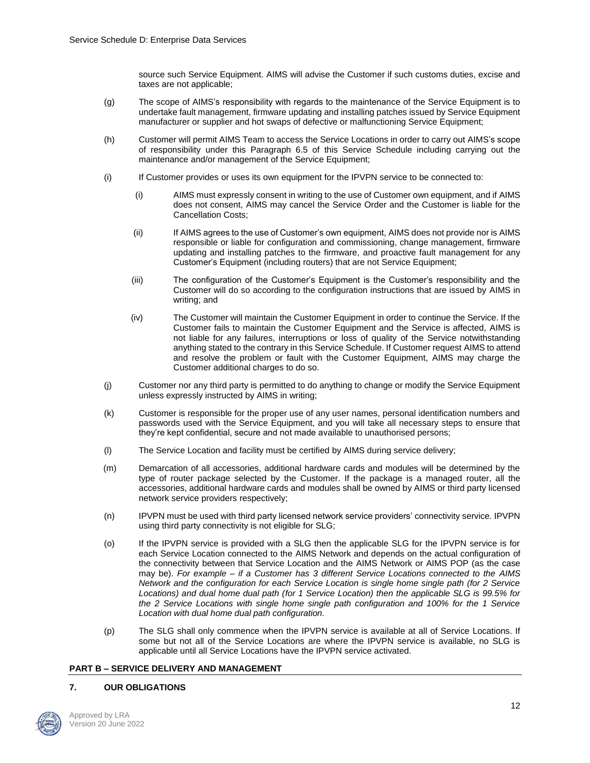source such Service Equipment. AIMS will advise the Customer if such customs duties, excise and taxes are not applicable;

- (g) The scope of AIMS's responsibility with regards to the maintenance of the Service Equipment is to undertake fault management, firmware updating and installing patches issued by Service Equipment manufacturer or supplier and hot swaps of defective or malfunctioning Service Equipment;
- (h) Customer will permit AIMS Team to access the Service Locations in order to carry out AIMS's scope of responsibility under this Paragraph 6.5 of this Service Schedule including carrying out the maintenance and/or management of the Service Equipment;
- (i) If Customer provides or uses its own equipment for the IPVPN service to be connected to:
	- (i) AIMS must expressly consent in writing to the use of Customer own equipment, and if AIMS does not consent, AIMS may cancel the Service Order and the Customer is liable for the Cancellation Costs;
	- (ii) If AIMS agrees to the use of Customer's own equipment, AIMS does not provide nor is AIMS responsible or liable for configuration and commissioning, change management, firmware updating and installing patches to the firmware, and proactive fault management for any Customer's Equipment (including routers) that are not Service Equipment;
	- (iii) The configuration of the Customer's Equipment is the Customer's responsibility and the Customer will do so according to the configuration instructions that are issued by AIMS in writing; and
	- (iv) The Customer will maintain the Customer Equipment in order to continue the Service. If the Customer fails to maintain the Customer Equipment and the Service is affected, AIMS is not liable for any failures, interruptions or loss of quality of the Service notwithstanding anything stated to the contrary in this Service Schedule. If Customer request AIMS to attend and resolve the problem or fault with the Customer Equipment, AIMS may charge the Customer additional charges to do so.
- (j) Customer nor any third party is permitted to do anything to change or modify the Service Equipment unless expressly instructed by AIMS in writing;
- (k) Customer is responsible for the proper use of any user names, personal identification numbers and passwords used with the Service Equipment, and you will take all necessary steps to ensure that they're kept confidential, secure and not made available to unauthorised persons;
- (l) The Service Location and facility must be certified by AIMS during service delivery;
- (m) Demarcation of all accessories, additional hardware cards and modules will be determined by the type of router package selected by the Customer. If the package is a managed router, all the accessories, additional hardware cards and modules shall be owned by AIMS or third party licensed network service providers respectively;
- (n) IPVPN must be used with third party licensed network service providers' connectivity service. IPVPN using third party connectivity is not eligible for SLG;
- (o) If the IPVPN service is provided with a SLG then the applicable SLG for the IPVPN service is for each Service Location connected to the AIMS Network and depends on the actual configuration of the connectivity between that Service Location and the AIMS Network or AIMS POP (as the case may be). *For example – if a Customer has 3 different Service Locations connected to the AIMS Network and the configuration for each Service Location is single home single path (for 2 Service Locations) and dual home dual path (for 1 Service Location) then the applicable SLG is 99.5% for the 2 Service Locations with single home single path configuration and 100% for the 1 Service Location with dual home dual path configuration.*
- (p) The SLG shall only commence when the IPVPN service is available at all of Service Locations. If some but not all of the Service Locations are where the IPVPN service is available, no SLG is applicable until all Service Locations have the IPVPN service activated.

#### **PART B – SERVICE DELIVERY AND MANAGEMENT**

#### **7. OUR OBLIGATIONS**

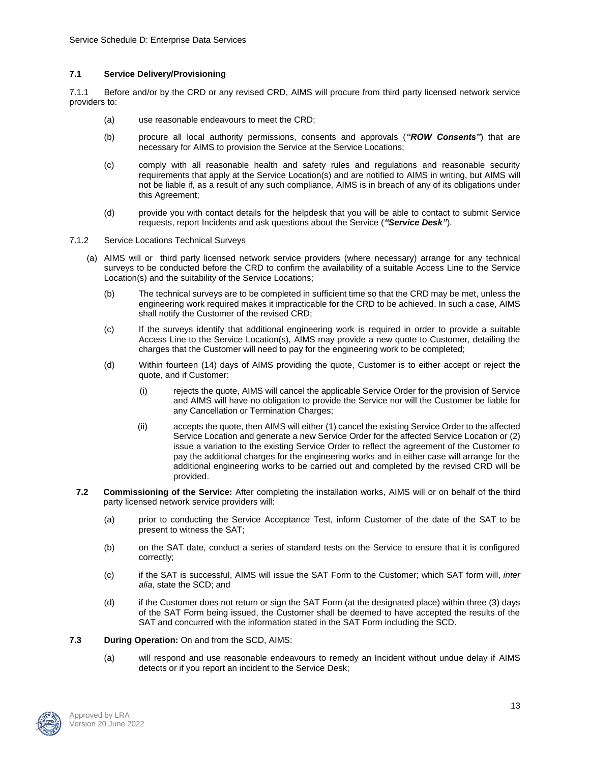### **7.1 Service Delivery/Provisioning**

7.1.1 Before and/or by the CRD or any revised CRD, AIMS will procure from third party licensed network service providers to:

- (a) use reasonable endeavours to meet the CRD;
- (b) procure all local authority permissions, consents and approvals (*"ROW Consents"*) that are necessary for AIMS to provision the Service at the Service Locations;
- (c) comply with all reasonable health and safety rules and regulations and reasonable security requirements that apply at the Service Location(s) and are notified to AIMS in writing, but AIMS will not be liable if, as a result of any such compliance, AIMS is in breach of any of its obligations under this Agreement;
- (d) provide you with contact details for the helpdesk that you will be able to contact to submit Service requests, report Incidents and ask questions about the Service (*"Service Desk"*).
- 7.1.2 Service Locations Technical Surveys
	- (a) AIMS will or third party licensed network service providers (where necessary) arrange for any technical surveys to be conducted before the CRD to confirm the availability of a suitable Access Line to the Service Location(s) and the suitability of the Service Locations;
		- (b) The technical surveys are to be completed in sufficient time so that the CRD may be met, unless the engineering work required makes it impracticable for the CRD to be achieved. In such a case, AIMS shall notify the Customer of the revised CRD;
		- (c) If the surveys identify that additional engineering work is required in order to provide a suitable Access Line to the Service Location(s), AIMS may provide a new quote to Customer, detailing the charges that the Customer will need to pay for the engineering work to be completed;
		- (d) Within fourteen (14) days of AIMS providing the quote, Customer is to either accept or reject the quote, and if Customer:
			- (i) rejects the quote, AIMS will cancel the applicable Service Order for the provision of Service and AIMS will have no obligation to provide the Service nor will the Customer be liable for any Cancellation or Termination Charges;
			- (ii) accepts the quote, then AIMS will either (1) cancel the existing Service Order to the affected Service Location and generate a new Service Order for the affected Service Location or (2) issue a variation to the existing Service Order to reflect the agreement of the Customer to pay the additional charges for the engineering works and in either case will arrange for the additional engineering works to be carried out and completed by the revised CRD will be provided.
	- **7.2 Commissioning of the Service:** After completing the installation works, AIMS will or on behalf of the third party licensed network service providers will:
		- (a) prior to conducting the Service Acceptance Test, inform Customer of the date of the SAT to be present to witness the SAT;
		- (b) on the SAT date, conduct a series of standard tests on the Service to ensure that it is configured correctly;
		- (c) if the SAT is successful, AIMS will issue the SAT Form to the Customer; which SAT form will, *inter alia*, state the SCD; and
		- (d) if the Customer does not return or sign the SAT Form (at the designated place) within three (3) days of the SAT Form being issued, the Customer shall be deemed to have accepted the results of the SAT and concurred with the information stated in the SAT Form including the SCD.
- **7.3 During Operation:** On and from the SCD, AIMS:
	- (a) will respond and use reasonable endeavours to remedy an Incident without undue delay if AIMS detects or if you report an incident to the Service Desk;

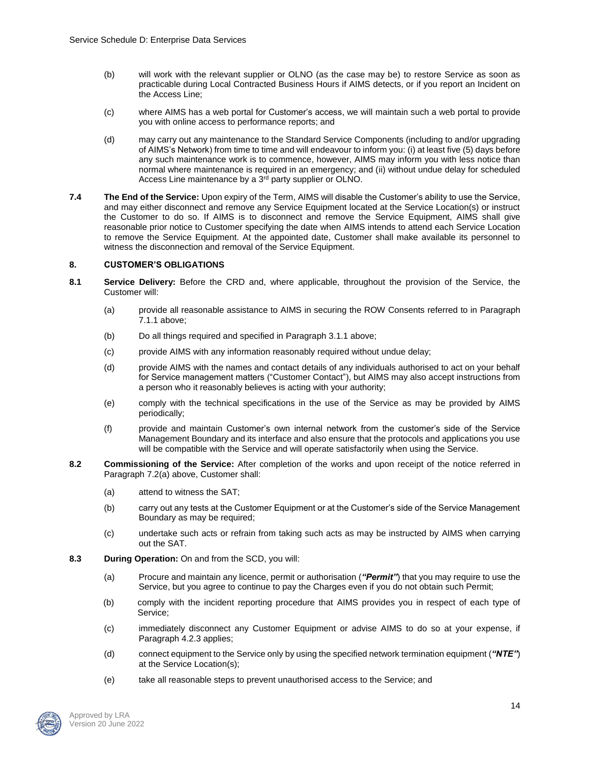- (b) will work with the relevant supplier or OLNO (as the case may be) to restore Service as soon as practicable during Local Contracted Business Hours if AIMS detects, or if you report an Incident on the Access Line;
- (c) where AIMS has a web portal for Customer's access, we will maintain such a web portal to provide you with online access to performance reports; and
- (d) may carry out any maintenance to the Standard Service Components (including to and/or upgrading of AIMS's Network) from time to time and will endeavour to inform you: (i) at least five (5) days before any such maintenance work is to commence, however, AIMS may inform you with less notice than normal where maintenance is required in an emergency; and (ii) without undue delay for scheduled Access Line maintenance by a 3<sup>rd</sup> party supplier or OLNO.
- **7.4 The End of the Service:** Upon expiry of the Term, AIMS will disable the Customer's ability to use the Service, and may either disconnect and remove any Service Equipment located at the Service Location(s) or instruct the Customer to do so. If AIMS is to disconnect and remove the Service Equipment, AIMS shall give reasonable prior notice to Customer specifying the date when AIMS intends to attend each Service Location to remove the Service Equipment. At the appointed date, Customer shall make available its personnel to witness the disconnection and removal of the Service Equipment.

### **8. CUSTOMER'S OBLIGATIONS**

- **8.1 Service Delivery:** Before the CRD and, where applicable, throughout the provision of the Service, the Customer will:
	- (a) provide all reasonable assistance to AIMS in securing the ROW Consents referred to in Paragraph 7.1.1 above;
	- (b) Do all things required and specified in Paragraph 3.1.1 above;
	- (c) provide AIMS with any information reasonably required without undue delay;
	- (d) provide AIMS with the names and contact details of any individuals authorised to act on your behalf for Service management matters ("Customer Contact"), but AIMS may also accept instructions from a person who it reasonably believes is acting with your authority;
	- (e) comply with the technical specifications in the use of the Service as may be provided by AIMS periodically;
	- (f) provide and maintain Customer's own internal network from the customer's side of the Service Management Boundary and its interface and also ensure that the protocols and applications you use will be compatible with the Service and will operate satisfactorily when using the Service.
- **8.2 Commissioning of the Service:** After completion of the works and upon receipt of the notice referred in Paragraph 7.2(a) above, Customer shall:
	- (a) attend to witness the SAT;
	- (b) carry out any tests at the Customer Equipment or at the Customer's side of the Service Management Boundary as may be required;
	- (c) undertake such acts or refrain from taking such acts as may be instructed by AIMS when carrying out the SAT.
- **8.3 During Operation:** On and from the SCD, you will:
	- (a) Procure and maintain any licence, permit or authorisation (*"Permit"*) that you may require to use the Service, but you agree to continue to pay the Charges even if you do not obtain such Permit;
	- (b) comply with the incident reporting procedure that AIMS provides you in respect of each type of Service;
	- (c) immediately disconnect any Customer Equipment or advise AIMS to do so at your expense, if Paragraph 4.2.3 applies;
	- (d) connect equipment to the Service only by using the specified network termination equipment (*"NTE"*) at the Service Location(s);
	- (e) take all reasonable steps to prevent unauthorised access to the Service; and

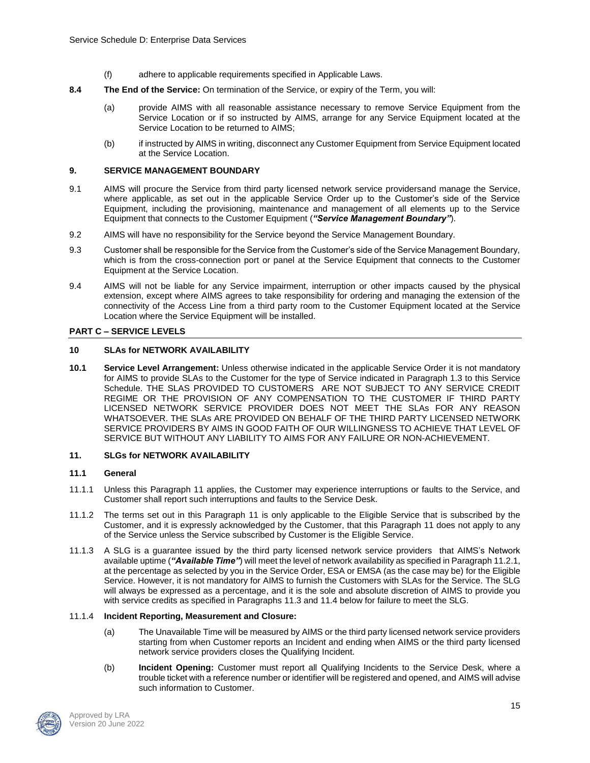- (f) adhere to applicable requirements specified in Applicable Laws.
- **8.4 The End of the Service:** On termination of the Service, or expiry of the Term, you will:
	- (a) provide AIMS with all reasonable assistance necessary to remove Service Equipment from the Service Location or if so instructed by AIMS, arrange for any Service Equipment located at the Service Location to be returned to AIMS;
	- (b) if instructed by AIMS in writing, disconnect any Customer Equipment from Service Equipment located at the Service Location.

### **9. SERVICE MANAGEMENT BOUNDARY**

- 9.1 AIMS will procure the Service from third party licensed network service providersand manage the Service, where applicable, as set out in the applicable Service Order up to the Customer's side of the Service Equipment, including the provisioning, maintenance and management of all elements up to the Service Equipment that connects to the Customer Equipment (*"Service Management Boundary"*).
- 9.2 AIMS will have no responsibility for the Service beyond the Service Management Boundary.
- 9.3 Customer shall be responsible for the Service from the Customer's side of the Service Management Boundary, which is from the cross-connection port or panel at the Service Equipment that connects to the Customer Equipment at the Service Location.
- 9.4 AIMS will not be liable for any Service impairment, interruption or other impacts caused by the physical extension, except where AIMS agrees to take responsibility for ordering and managing the extension of the connectivity of the Access Line from a third party room to the Customer Equipment located at the Service Location where the Service Equipment will be installed.

### **PART C – SERVICE LEVELS**

### **10 SLAs for NETWORK AVAILABILITY**

**10.1 Service Level Arrangement:** Unless otherwise indicated in the applicable Service Order it is not mandatory for AIMS to provide SLAs to the Customer for the type of Service indicated in Paragraph 1.3 to this Service Schedule. THE SLAS PROVIDED TO CUSTOMERS ARE NOT SUBJECT TO ANY SERVICE CREDIT REGIME OR THE PROVISION OF ANY COMPENSATION TO THE CUSTOMER IF THIRD PARTY LICENSED NETWORK SERVICE PROVIDER DOES NOT MEET THE SLAs FOR ANY REASON WHATSOEVER. THE SLAs ARE PROVIDED ON BEHALF OF THE THIRD PARTY LICENSED NETWORK SERVICE PROVIDERS BY AIMS IN GOOD FAITH OF OUR WILLINGNESS TO ACHIEVE THAT LEVEL OF SERVICE BUT WITHOUT ANY LIABILITY TO AIMS FOR ANY FAILURE OR NON-ACHIEVEMENT.

#### **11. SLGs for NETWORK AVAILABILITY**

#### **11.1 General**

- 11.1.1 Unless this Paragraph 11 applies, the Customer may experience interruptions or faults to the Service, and Customer shall report such interruptions and faults to the Service Desk.
- 11.1.2 The terms set out in this Paragraph 11 is only applicable to the Eligible Service that is subscribed by the Customer, and it is expressly acknowledged by the Customer, that this Paragraph 11 does not apply to any of the Service unless the Service subscribed by Customer is the Eligible Service.
- 11.1.3 A SLG is a guarantee issued by the third party licensed network service providers that AIMS's Network available uptime (*"Available Time"*) will meet the level of network availability as specified in Paragraph 11.2.1, at the percentage as selected by you in the Service Order, ESA or EMSA (as the case may be) for the Eligible Service. However, it is not mandatory for AIMS to furnish the Customers with SLAs for the Service. The SLG will always be expressed as a percentage, and it is the sole and absolute discretion of AIMS to provide you with service credits as specified in Paragraphs 11.3 and 11.4 below for failure to meet the SLG.

#### 11.1.4 **Incident Reporting, Measurement and Closure:**

- (a) The Unavailable Time will be measured by AIMS or the third party licensed network service providers starting from when Customer reports an Incident and ending when AIMS or the third party licensed network service providers closes the Qualifying Incident.
- (b) **Incident Opening:** Customer must report all Qualifying Incidents to the Service Desk, where a trouble ticket with a reference number or identifier will be registered and opened, and AIMS will advise such information to Customer.

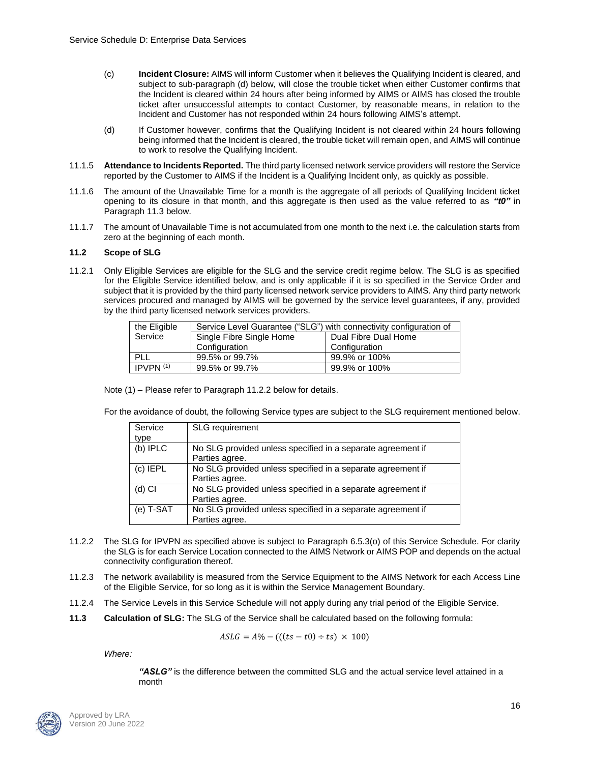- (c) **Incident Closure:** AIMS will inform Customer when it believes the Qualifying Incident is cleared, and subject to sub-paragraph (d) below, will close the trouble ticket when either Customer confirms that the Incident is cleared within 24 hours after being informed by AIMS or AIMS has closed the trouble ticket after unsuccessful attempts to contact Customer, by reasonable means, in relation to the Incident and Customer has not responded within 24 hours following AIMS's attempt.
- (d) If Customer however, confirms that the Qualifying Incident is not cleared within 24 hours following being informed that the Incident is cleared, the trouble ticket will remain open, and AIMS will continue to work to resolve the Qualifying Incident.
- 11.1.5 **Attendance to Incidents Reported.** The third party licensed network service providers will restore the Service reported by the Customer to AIMS if the Incident is a Qualifying Incident only, as quickly as possible.
- 11.1.6 The amount of the Unavailable Time for a month is the aggregate of all periods of Qualifying Incident ticket opening to its closure in that month, and this aggregate is then used as the value referred to as *"t0"* in Paragraph 11.3 below.
- 11.1.7 The amount of Unavailable Time is not accumulated from one month to the next i.e. the calculation starts from zero at the beginning of each month.

#### **11.2 Scope of SLG**

11.2.1 Only Eligible Services are eligible for the SLG and the service credit regime below. The SLG is as specified for the Eligible Service identified below, and is only applicable if it is so specified in the Service Order and subject that it is provided by the third party licensed network service providers to AIMS. Any third party network services procured and managed by AIMS will be governed by the service level guarantees, if any, provided by the third party licensed network services providers.

| the Eligible | Service Level Guarantee ("SLG") with connectivity configuration of |                      |
|--------------|--------------------------------------------------------------------|----------------------|
| Service      | Single Fibre Single Home                                           | Dual Fibre Dual Home |
|              | Configuration                                                      | Configuration        |
| PLL          | 99.5% or 99.7%                                                     | 99.9% or 100%        |
| IPVPN $(1)$  | 99.5% or 99.7%                                                     | 99.9% or 100%        |

Note (1) – Please refer to Paragraph 11.2.2 below for details.

For the avoidance of doubt, the following Service types are subject to the SLG requirement mentioned below.

| Service    | <b>SLG</b> requirement                                      |
|------------|-------------------------------------------------------------|
| type       |                                                             |
| (b) IPLC   | No SLG provided unless specified in a separate agreement if |
|            | Parties agree.                                              |
| $(c)$ IEPL | No SLG provided unless specified in a separate agreement if |
|            | Parties agree.                                              |
| $(d)$ CI   | No SLG provided unless specified in a separate agreement if |
|            | Parties agree.                                              |
| (e) T-SAT  | No SLG provided unless specified in a separate agreement if |
|            | Parties agree.                                              |

- 11.2.2 The SLG for IPVPN as specified above is subject to Paragraph 6.5.3(o) of this Service Schedule. For clarity the SLG is for each Service Location connected to the AIMS Network or AIMS POP and depends on the actual connectivity configuration thereof.
- 11.2.3 The network availability is measured from the Service Equipment to the AIMS Network for each Access Line of the Eligible Service, for so long as it is within the Service Management Boundary.
- 11.2.4 The Service Levels in this Service Schedule will not apply during any trial period of the Eligible Service.
- **11.3 Calculation of SLG:** The SLG of the Service shall be calculated based on the following formula:

$$
ASLG = A\% - (((ts - t0) \div ts) \times 100)
$$

*Where:*

*"ASLG"* is the difference between the committed SLG and the actual service level attained in a month

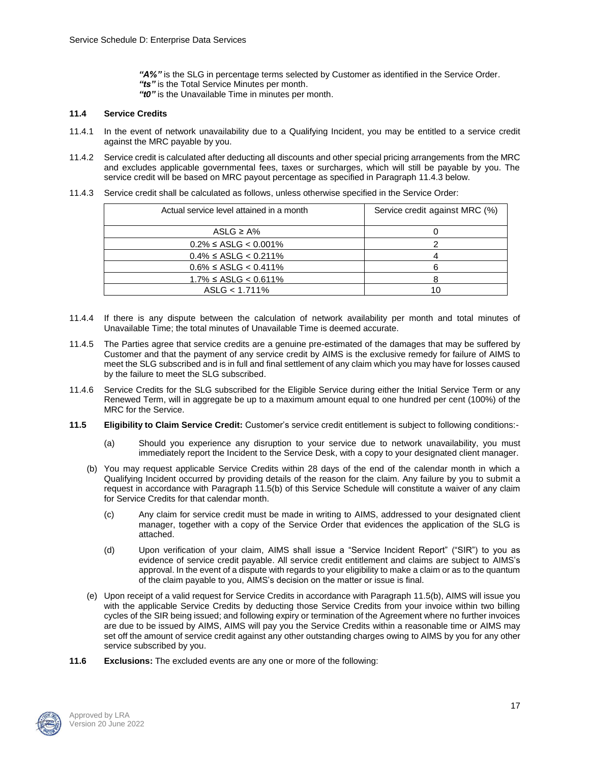*"A%"* is the SLG in percentage terms selected by Customer as identified in the Service Order. *"ts"* is the Total Service Minutes per month. *"t0"* is the Unavailable Time in minutes per month.

### **11.4 Service Credits**

- 11.4.1 In the event of network unavailability due to a Qualifying Incident, you may be entitled to a service credit against the MRC payable by you.
- 11.4.2 Service credit is calculated after deducting all discounts and other special pricing arrangements from the MRC and excludes applicable governmental fees, taxes or surcharges, which will still be payable by you. The service credit will be based on MRC payout percentage as specified in Paragraph 11.4.3 below.
- 11.4.3 Service credit shall be calculated as follows, unless otherwise specified in the Service Order:

| Actual service level attained in a month | Service credit against MRC (%) |
|------------------------------------------|--------------------------------|
| ASLG $\geq$ A%                           |                                |
| $0.2\% \leq$ ASLG < 0.001%               |                                |
| $0.4\% \leq$ ASLG < 0.211%               |                                |
| $0.6\% \leq$ ASLG < 0.411%               |                                |
| $1.7\% \leq$ ASLG < 0.611%               |                                |
| $ASLG < 1.711\%$                         |                                |

- 11.4.4 If there is any dispute between the calculation of network availability per month and total minutes of Unavailable Time; the total minutes of Unavailable Time is deemed accurate.
- 11.4.5 The Parties agree that service credits are a genuine pre-estimated of the damages that may be suffered by Customer and that the payment of any service credit by AIMS is the exclusive remedy for failure of AIMS to meet the SLG subscribed and is in full and final settlement of any claim which you may have for losses caused by the failure to meet the SLG subscribed.
- 11.4.6 Service Credits for the SLG subscribed for the Eligible Service during either the Initial Service Term or any Renewed Term, will in aggregate be up to a maximum amount equal to one hundred per cent (100%) of the MRC for the Service.
- **11.5 Eligibility to Claim Service Credit:** Customer's service credit entitlement is subject to following conditions:-
	- (a) Should you experience any disruption to your service due to network unavailability, you must immediately report the Incident to the Service Desk, with a copy to your designated client manager.
	- (b) You may request applicable Service Credits within 28 days of the end of the calendar month in which a Qualifying Incident occurred by providing details of the reason for the claim. Any failure by you to submit a request in accordance with Paragraph 11.5(b) of this Service Schedule will constitute a waiver of any claim for Service Credits for that calendar month.
		- (c) Any claim for service credit must be made in writing to AIMS, addressed to your designated client manager, together with a copy of the Service Order that evidences the application of the SLG is attached.
		- (d) Upon verification of your claim, AIMS shall issue a "Service Incident Report" ("SIR") to you as evidence of service credit payable. All service credit entitlement and claims are subject to AIMS's approval. In the event of a dispute with regards to your eligibility to make a claim or as to the quantum of the claim payable to you, AIMS's decision on the matter or issue is final.
	- (e) Upon receipt of a valid request for Service Credits in accordance with Paragraph 11.5(b), AIMS will issue you with the applicable Service Credits by deducting those Service Credits from your invoice within two billing cycles of the SIR being issued; and following expiry or termination of the Agreement where no further invoices are due to be issued by AIMS, AIMS will pay you the Service Credits within a reasonable time or AIMS may set off the amount of service credit against any other outstanding charges owing to AIMS by you for any other service subscribed by you.
- **11.6 Exclusions:** The excluded events are any one or more of the following:

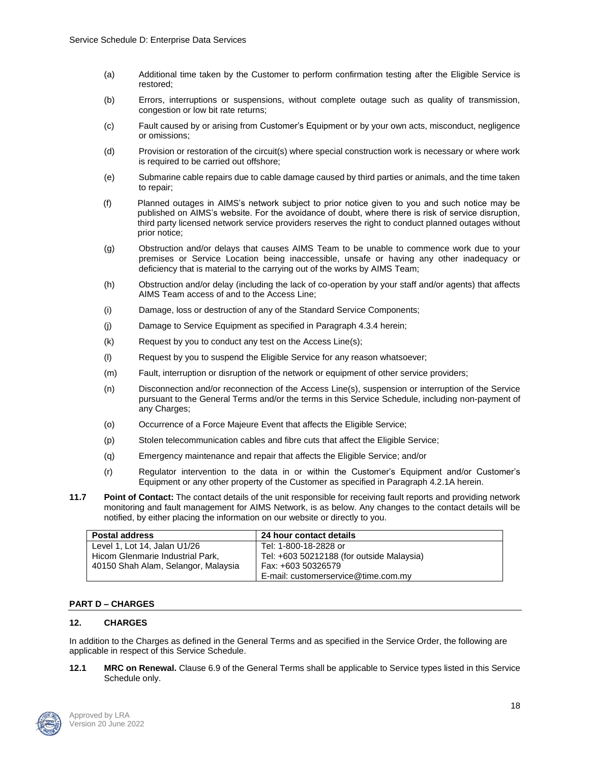- (a) Additional time taken by the Customer to perform confirmation testing after the Eligible Service is restored;
- (b) Errors, interruptions or suspensions, without complete outage such as quality of transmission, congestion or low bit rate returns;
- (c) Fault caused by or arising from Customer's Equipment or by your own acts, misconduct, negligence or omissions;
- (d) Provision or restoration of the circuit(s) where special construction work is necessary or where work is required to be carried out offshore;
- (e) Submarine cable repairs due to cable damage caused by third parties or animals, and the time taken to repair;
- (f) Planned outages in AIMS's network subject to prior notice given to you and such notice may be published on AIMS's website. For the avoidance of doubt, where there is risk of service disruption, third party licensed network service providers reserves the right to conduct planned outages without prior notice;
- (g) Obstruction and/or delays that causes AIMS Team to be unable to commence work due to your premises or Service Location being inaccessible, unsafe or having any other inadequacy or deficiency that is material to the carrying out of the works by AIMS Team;
- (h) Obstruction and/or delay (including the lack of co-operation by your staff and/or agents) that affects AIMS Team access of and to the Access Line;
- (i) Damage, loss or destruction of any of the Standard Service Components;
- (j) Damage to Service Equipment as specified in Paragraph 4.3.4 herein;
- (k) Request by you to conduct any test on the Access Line(s);
- (l) Request by you to suspend the Eligible Service for any reason whatsoever;
- (m) Fault, interruption or disruption of the network or equipment of other service providers;
- (n) Disconnection and/or reconnection of the Access Line(s), suspension or interruption of the Service pursuant to the General Terms and/or the terms in this Service Schedule, including non-payment of any Charges;
- (o) Occurrence of a Force Majeure Event that affects the Eligible Service;
- (p) Stolen telecommunication cables and fibre cuts that affect the Eligible Service;
- (q) Emergency maintenance and repair that affects the Eligible Service; and/or
- (r) Regulator intervention to the data in or within the Customer's Equipment and/or Customer's Equipment or any other property of the Customer as specified in Paragraph 4.2.1A herein.
- **11.7 Point of Contact:** The contact details of the unit responsible for receiving fault reports and providing network monitoring and fault management for AIMS Network, is as below. Any changes to the contact details will be notified, by either placing the information on our website or directly to you.

| <b>Postal address</b>               | 24 hour contact details                   |
|-------------------------------------|-------------------------------------------|
| Level 1, Lot 14, Jalan U1/26        | Tel: 1-800-18-2828 or                     |
| Hicom Glenmarie Industrial Park,    | Tel: +603 50212188 (for outside Malaysia) |
| 40150 Shah Alam, Selangor, Malaysia | Fax: +603 50326579                        |
|                                     | E-mail: customerservice@time.com.mv       |

### **PART D – CHARGES**

#### **12. CHARGES**

In addition to the Charges as defined in the General Terms and as specified in the Service Order, the following are applicable in respect of this Service Schedule.

**12.1 MRC on Renewal.** Clause 6.9 of the General Terms shall be applicable to Service types listed in this Service Schedule only.